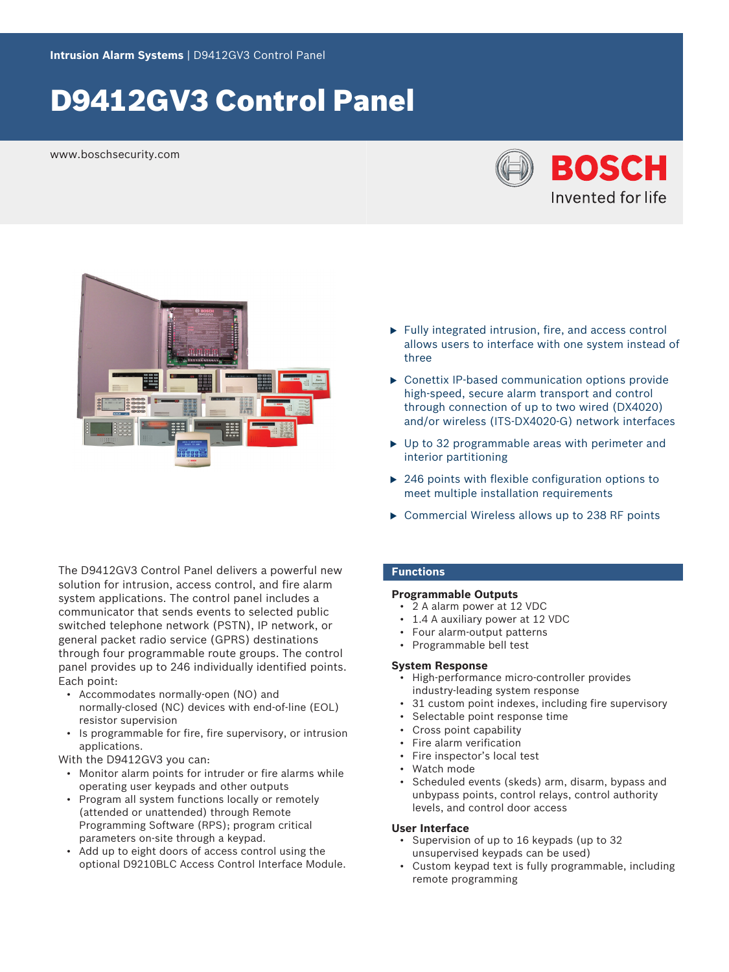# D9412GV3 Control Panel

www.boschsecurity.com





The D9412GV3 Control Panel delivers a powerful new solution for intrusion, access control, and fire alarm system applications. The control panel includes a communicator that sends events to selected public switched telephone network (PSTN), IP network, or general packet radio service (GPRS) destinations through four programmable route groups. The control panel provides up to 246 individually identified points. Each point:

- Accommodates normally‑open (NO) and normally-closed (NC) devices with end-of-line (EOL) resistor supervision
- Is programmable for fire, fire supervisory, or intrusion applications.

With the D9412GV3 you can:

- Monitor alarm points for intruder or fire alarms while operating user keypads and other outputs
- Program all system functions locally or remotely (attended or unattended) through Remote Programming Software (RPS); program critical parameters on‑site through a keypad.
- Add up to eight doors of access control using the optional D9210BLC Access Control Interface Module.
- $\blacktriangleright$  Fully integrated intrusion, fire, and access control allows users to interface with one system instead of three
- $\triangleright$  Conettix IP-based communication options provide high-speed, secure alarm transport and control through connection of up to two wired (DX4020) and/or wireless (ITS‑DX4020‑G) network interfaces
- $\triangleright$  Up to 32 programmable areas with perimeter and interior partitioning
- $\triangleright$  246 points with flexible configuration options to meet multiple installation requirements
- $\triangleright$  Commercial Wireless allows up to 238 RF points

# **Functions**

# **Programmable Outputs**

- 2 A alarm power at 12 VDC
- 1.4 A auxiliary power at 12 VDC
- Four alarm‑output patterns
- Programmable bell test

# **System Response**

- High-performance micro‑controller provides industry‑leading system response
- 31 custom point indexes, including fire supervisory
- Selectable point response time
- Cross point capability
- Fire alarm verification
- Fire inspector's local test
- Watch mode
- Scheduled events (skeds) arm, disarm, bypass and unbypass points, control relays, control authority levels, and control door access

# **User Interface**

- Supervision of up to 16 keypads (up to 32 unsupervised keypads can be used)
- Custom keypad text is fully programmable, including remote programming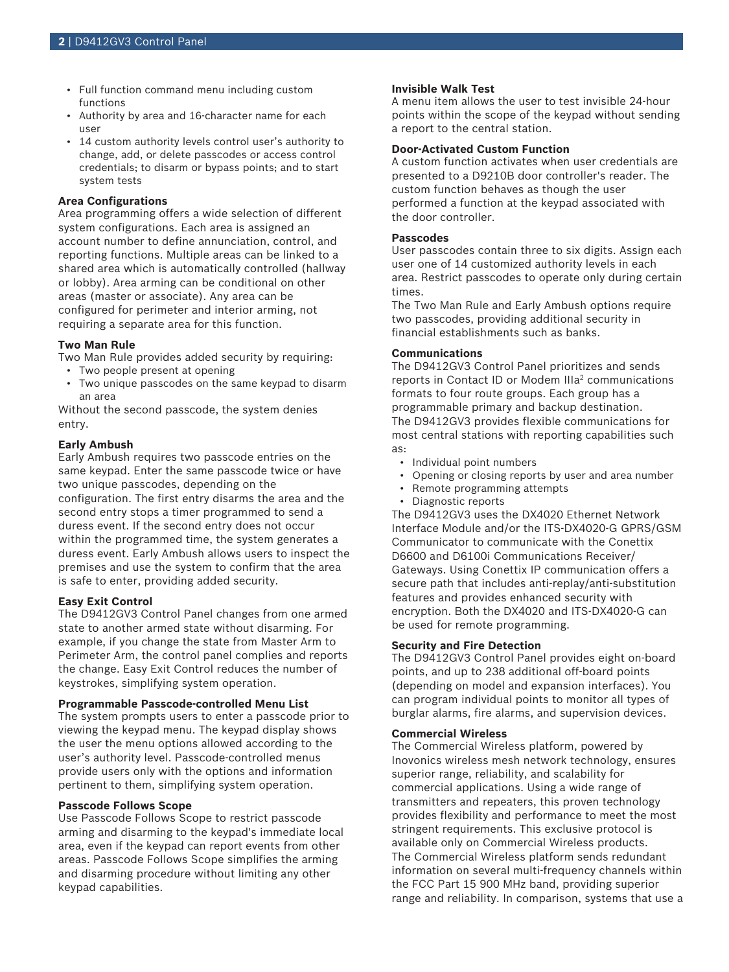- Full function command menu including custom functions
- Authority by area and 16‑character name for each user
- 14 custom authority levels control user's authority to change, add, or delete passcodes or access control credentials; to disarm or bypass points; and to start system tests

## **Area Configurations**

Area programming offers a wide selection of different system configurations. Each area is assigned an account number to define annunciation, control, and reporting functions. Multiple areas can be linked to a shared area which is automatically controlled (hallway or lobby). Area arming can be conditional on other areas (master or associate). Any area can be configured for perimeter and interior arming, not requiring a separate area for this function.

#### **Two Man Rule**

Two Man Rule provides added security by requiring:

- Two people present at opening
- Two unique passcodes on the same keypad to disarm an area

Without the second passcode, the system denies entry.

#### **Early Ambush**

Early Ambush requires two passcode entries on the same keypad. Enter the same passcode twice or have two unique passcodes, depending on the configuration. The first entry disarms the area and the second entry stops a timer programmed to send a duress event. If the second entry does not occur within the programmed time, the system generates a duress event. Early Ambush allows users to inspect the premises and use the system to confirm that the area is safe to enter, providing added security.

#### **Easy Exit Control**

The D9412GV3 Control Panel changes from one armed state to another armed state without disarming. For example, if you change the state from Master Arm to Perimeter Arm, the control panel complies and reports the change. Easy Exit Control reduces the number of keystrokes, simplifying system operation.

# **Programmable Passcode‑controlled Menu List**

The system prompts users to enter a passcode prior to viewing the keypad menu. The keypad display shows the user the menu options allowed according to the user's authority level. Passcode-controlled menus provide users only with the options and information pertinent to them, simplifying system operation.

# **Passcode Follows Scope**

Use Passcode Follows Scope to restrict passcode arming and disarming to the keypad's immediate local area, even if the keypad can report events from other areas. Passcode Follows Scope simplifies the arming and disarming procedure without limiting any other keypad capabilities.

# **Invisible Walk Test**

A menu item allows the user to test invisible 24‑hour points within the scope of the keypad without sending a report to the central station.

# **Door‑Activated Custom Function**

A custom function activates when user credentials are presented to a D9210B door controller's reader. The custom function behaves as though the user performed a function at the keypad associated with the door controller.

# **Passcodes**

User passcodes contain three to six digits. Assign each user one of 14 customized authority levels in each area. Restrict passcodes to operate only during certain times.

The Two Man Rule and Early Ambush options require two passcodes, providing additional security in financial establishments such as banks.

#### **Communications**

The D9412GV3 Control Panel prioritizes and sends reports in Contact ID or Modem IIIa<sup>2</sup> communications formats to four route groups. Each group has a programmable primary and backup destination. The D9412GV3 provides flexible communications for most central stations with reporting capabilities such as:

- Individual point numbers
- Opening or closing reports by user and area number
- Remote programming attempts
- Diagnostic reports

The D9412GV3 uses the DX4020 Ethernet Network Interface Module and/or the ITS‑DX4020‑G GPRS/GSM Communicator to communicate with the Conettix D6600 and D6100i Communications Receiver/ Gateways. Using Conettix IP communication offers a secure path that includes anti-replay/anti-substitution features and provides enhanced security with encryption. Both the DX4020 and ITS‑DX4020‑G can be used for remote programming.

# **Security and Fire Detection**

The D9412GV3 Control Panel provides eight on‑board points, and up to 238 additional off‑board points (depending on model and expansion interfaces). You can program individual points to monitor all types of burglar alarms, fire alarms, and supervision devices.

#### **Commercial Wireless**

The Commercial Wireless platform, powered by Inovonics wireless mesh network technology, ensures superior range, reliability, and scalability for commercial applications. Using a wide range of transmitters and repeaters, this proven technology provides flexibility and performance to meet the most stringent requirements. This exclusive protocol is available only on Commercial Wireless products. The Commercial Wireless platform sends redundant information on several multi-frequency channels within the FCC Part 15 900 MHz band, providing superior range and reliability. In comparison, systems that use a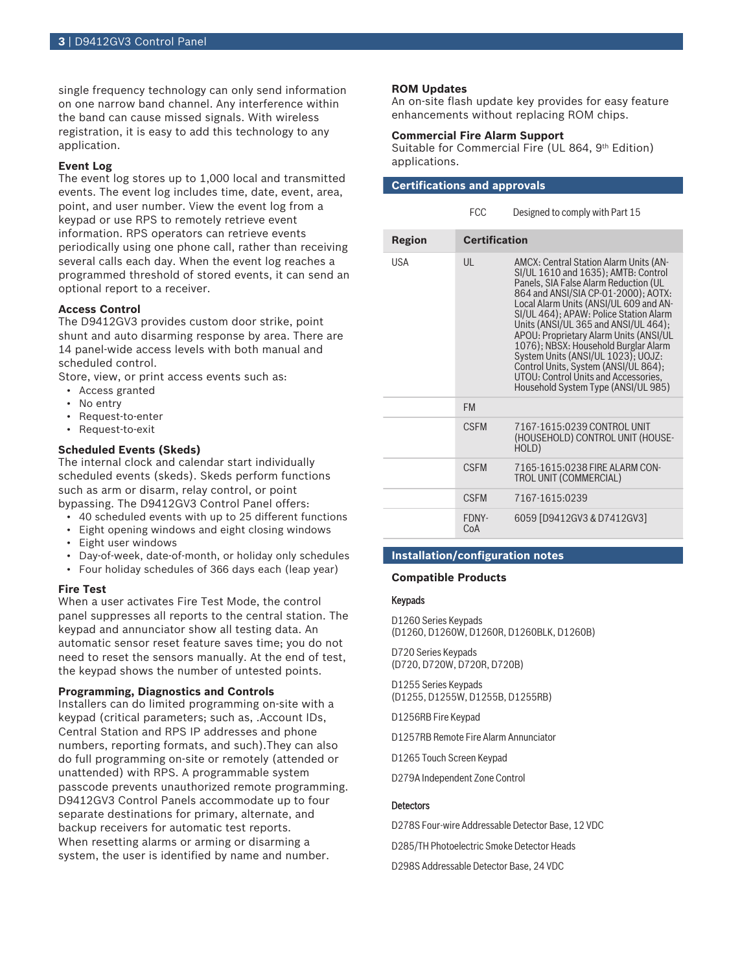single frequency technology can only send information on one narrow band channel. Any interference within the band can cause missed signals. With wireless registration, it is easy to add this technology to any application.

# **Event Log**

The event log stores up to 1,000 local and transmitted events. The event log includes time, date, event, area, point, and user number. View the event log from a keypad or use RPS to remotely retrieve event information. RPS operators can retrieve events periodically using one phone call, rather than receiving several calls each day. When the event log reaches a programmed threshold of stored events, it can send an optional report to a receiver.

# **Access Control**

The D9412GV3 provides custom door strike, point shunt and auto disarming response by area. There are 14 panel-wide access levels with both manual and scheduled control.

Store, view, or print access events such as:

- Access granted
- No entry
- Request-to-enter
- Request-to-exit

# **Scheduled Events (Skeds)**

The internal clock and calendar start individually scheduled events (skeds). Skeds perform functions such as arm or disarm, relay control, or point bypassing. The D9412GV3 Control Panel offers:

- 40 scheduled events with up to 25 different functions
- Eight opening windows and eight closing windows
- Eight user windows
- Day-of-week, date-of-month, or holiday only schedules
- Four holiday schedules of 366 days each (leap year)

# **Fire Test**

When a user activates Fire Test Mode, the control panel suppresses all reports to the central station. The keypad and annunciator show all testing data. An automatic sensor reset feature saves time; you do not need to reset the sensors manually. At the end of test, the keypad shows the number of untested points.

# **Programming, Diagnostics and Controls**

Installers can do limited programming on-site with a keypad (critical parameters; such as, .Account IDs, Central Station and RPS IP addresses and phone numbers, reporting formats, and such).They can also do full programming on-site or remotely (attended or unattended) with RPS. A programmable system passcode prevents unauthorized remote programming. D9412GV3 Control Panels accommodate up to four separate destinations for primary, alternate, and backup receivers for automatic test reports. When resetting alarms or arming or disarming a system, the user is identified by name and number.

# **ROM Updates**

An on‑site flash update key provides for easy feature enhancements without replacing ROM chips.

# **Commercial Fire Alarm Support**

Suitable for Commercial Fire (UL 864, 9th Edition) applications.

| <b>Certifications and approvals</b> |                      |                                                                                                                                                                                                                                                                                                                                                                                                                                                                                                                                                 |
|-------------------------------------|----------------------|-------------------------------------------------------------------------------------------------------------------------------------------------------------------------------------------------------------------------------------------------------------------------------------------------------------------------------------------------------------------------------------------------------------------------------------------------------------------------------------------------------------------------------------------------|
|                                     | <b>FCC</b>           | Designed to comply with Part 15                                                                                                                                                                                                                                                                                                                                                                                                                                                                                                                 |
| Region                              | <b>Certification</b> |                                                                                                                                                                                                                                                                                                                                                                                                                                                                                                                                                 |
| USA                                 | UL                   | <b>AMCX: Central Station Alarm Units (AN-</b><br>SI/UL 1610 and 1635); AMTB: Control<br>Panels, SIA False Alarm Reduction (UL<br>864 and ANSI/SIA CP-01-2000); AOTX:<br>Local Alarm Units (ANSI/UL 609 and AN-<br>SI/UL 464); APAW: Police Station Alarm<br>Units (ANSI/UL 365 and ANSI/UL 464);<br>APOU: Proprietary Alarm Units (ANSI/UL<br>1076); NBSX: Household Burglar Alarm<br>System Units (ANSI/UL 1023); UOJZ:<br>Control Units, System (ANSI/UL 864);<br>UTOU: Control Units and Accessories,<br>Household System Type (ANSI/UL 985) |
|                                     | <b>FM</b>            |                                                                                                                                                                                                                                                                                                                                                                                                                                                                                                                                                 |
|                                     | <b>CSFM</b>          | 7167-1615:0239 CONTROL UNIT<br>(HOUSEHOLD) CONTROL UNIT (HOUSE-<br>HOLD)                                                                                                                                                                                                                                                                                                                                                                                                                                                                        |
|                                     | <b>CSFM</b>          | 7165-1615:0238 FIRE ALARM CON-<br><b>TROL UNIT (COMMERCIAL)</b>                                                                                                                                                                                                                                                                                                                                                                                                                                                                                 |
|                                     | <b>CSFM</b>          | 7167-1615:0239                                                                                                                                                                                                                                                                                                                                                                                                                                                                                                                                  |
|                                     | FDNY-<br>CoA         | 6059 [D9412GV3 & D7412GV3]                                                                                                                                                                                                                                                                                                                                                                                                                                                                                                                      |

# **Installation/configuration notes**

# **Compatible Products**

# Keypads

D1260 Series Keypads (D1260, D1260W, D1260R, D1260BLK, D1260B)

D720 Series Keypads (D720, D720W, D720R, D720B)

D1255 Series Keypads (D1255, D1255W, D1255B, D1255RB)

D1256RB Fire Keypad

D1257RB Remote Fire Alarm Annunciator

D1265 Touch Screen Keypad

D279A Independent Zone Control

# **Detectors**

D278S Four‑wire Addressable Detector Base, 12 VDC D285/TH Photoelectric Smoke Detector Heads D298S Addressable Detector Base, 24 VDC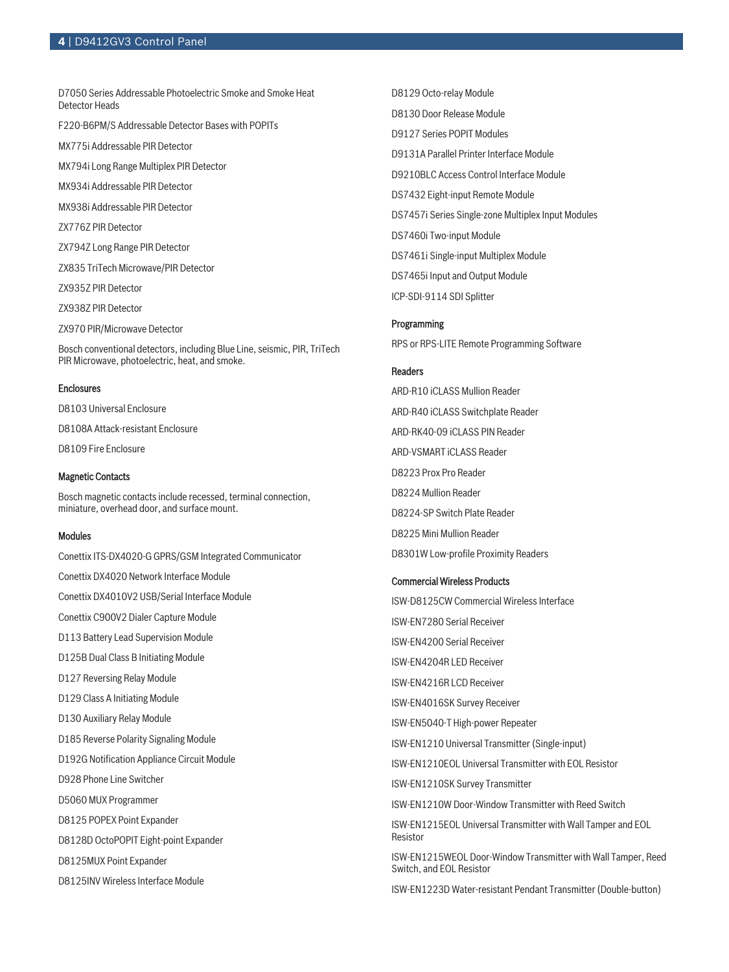D7050 Series Addressable Photoelectric Smoke and Smoke Heat Detector Heads

F220‑B6PM/S Addressable Detector Bases with POPITs

MX775i Addressable PIR Detector

MX794i Long Range Multiplex PIR Detector

MX934i Addressable PIR Detector

MX938i Addressable PIR Detector

ZX776Z PIR Detector

ZX794Z Long Range PIR Detector

ZX835 TriTech Microwave/PIR Detector

ZX935Z PIR Detector

ZX938Z PIR Detector

ZX970 PIR/Microwave Detector

Bosch conventional detectors, including Blue Line, seismic, PIR, TriTech PIR Microwave, photoelectric, heat, and smoke.

#### **Enclosures**

D8103 Universal Enclosure D8108A Attack‑resistant Enclosure D8109 Fire Enclosure

## Magnetic Contacts

Bosch magnetic contacts include recessed, terminal connection, miniature, overhead door, and surface mount.

#### Modules

Conettix ITS‑DX4020-G GPRS/GSM Integrated Communicator Conettix DX4020 Network Interface Module Conettix DX4010V2 USB/Serial Interface Module Conettix C900V2 Dialer Capture Module D113 Battery Lead Supervision Module D125B Dual Class B Initiating Module D127 Reversing Relay Module D129 Class A Initiating Module D130 Auxiliary Relay Module D185 Reverse Polarity Signaling Module D192G Notification Appliance Circuit Module D928 Phone Line Switcher D5060 MUX Programmer D8125 POPEX Point Expander D8128D OctoPOPIT Eight‑point Expander D8125MUX Point Expander D8125INV Wireless Interface Module

D8129 Octo-relay Module D8130 Door Release Module D9127 Series POPIT Modules D9131A Parallel Printer Interface Module D9210BLC Access Control Interface Module DS7432 Eight‑input Remote Module DS7457i Series Single‑zone Multiplex Input Modules DS7460i Two‑input Module DS7461i Single‑input Multiplex Module DS7465i Input and Output Module ICP-SDI-9114 SDI Splitter

# Programming

RPS or RPS‑LITE Remote Programming Software

# Readers

ARD‑R10 iCLASS Mullion Reader ARD‑R40 iCLASS Switchplate Reader ARD‑RK40‑09 iCLASS PIN Reader ARD‑VSMART iCLASS Reader D8223 Prox Pro Reader D8224 Mullion Reader D8224‑SP Switch Plate Reader D8225 Mini Mullion Reader D8301W Low‑profile Proximity Readers

# Commercial Wireless Products

ISW‑D8125CW Commercial Wireless Interface ISW‑EN7280 Serial Receiver ISW‑EN4200 Serial Receiver ISW‑EN4204R LED Receiver ISW‑EN4216R LCD Receiver ISW‑EN4016SK Survey Receiver ISW‑EN5040‑T High‑power Repeater ISW‑EN1210 Universal Transmitter (Single‑input) ISW‑EN1210EOL Universal Transmitter with EOL Resistor ISW‑EN1210SK Survey Transmitter ISW‑EN1210W Door‑Window Transmitter with Reed Switch ISW‑EN1215EOL Universal Transmitter with Wall Tamper and EOL Resistor ISW‑EN1215WEOL Door‑Window Transmitter with Wall Tamper, Reed Switch, and EOL Resistor

ISW‑EN1223D Water‑resistant Pendant Transmitter (Double‑button)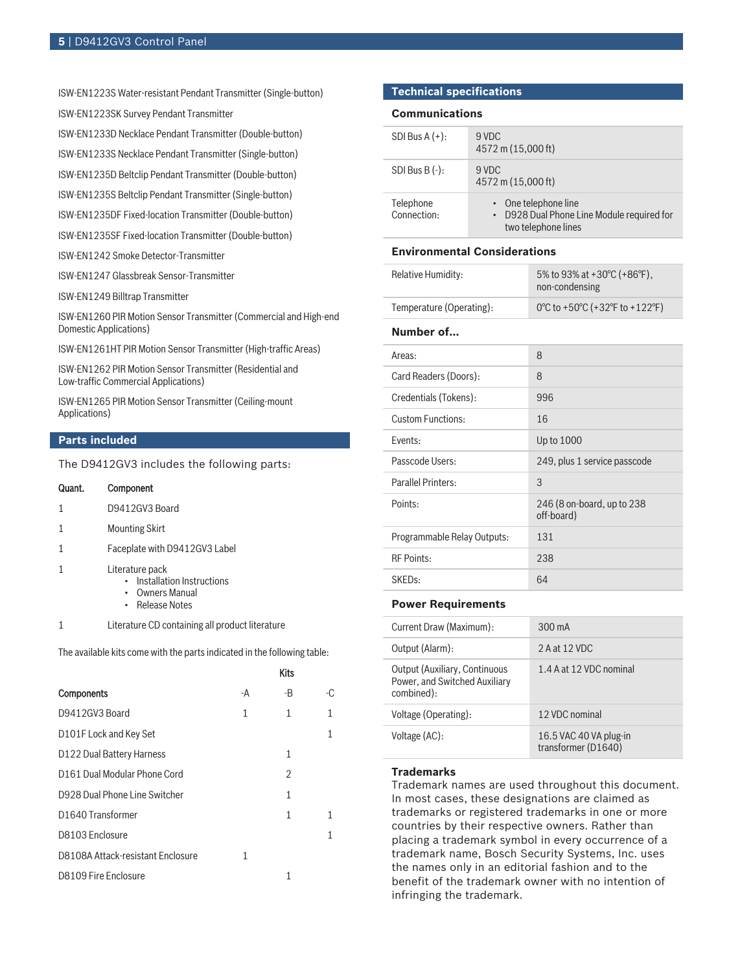ISW‑EN1223S Water‑resistant Pendant Transmitter (Single‑button)

ISW‑EN1223SK Survey Pendant Transmitter

ISW‑EN1233D Necklace Pendant Transmitter (Double‑button)

ISW‑EN1233S Necklace Pendant Transmitter (Single‑button)

ISW‑EN1235D Beltclip Pendant Transmitter (Double‑button)

ISW‑EN1235S Beltclip Pendant Transmitter (Single‑button)

ISW‑EN1235DF Fixed‑location Transmitter (Double‑button)

ISW‑EN1235SF Fixed‑location Transmitter (Double‑button)

ISW‑EN1242 Smoke Detector‑Transmitter

ISW‑EN1247 Glassbreak Sensor‑Transmitter

ISW‑EN1249 Billtrap Transmitter

ISW-EN1260 PIR Motion Sensor Transmitter (Commercial and High-end Domestic Applications)

ISW-EN1261HT PIR Motion Sensor Transmitter (High-traffic Areas)

ISW‑EN1262 PIR Motion Sensor Transmitter (Residential and Low‑traffic Commercial Applications)

ISW‑EN1265 PIR Motion Sensor Transmitter (Ceiling‑mount Applications)

# **Parts included**

The D9412GV3 includes the following parts:

| Quant. | Component                                                                             |
|--------|---------------------------------------------------------------------------------------|
|        | D9412GV3 Board                                                                        |
|        | <b>Mounting Skirt</b>                                                                 |
|        | Faceplate with D9412GV3 Label                                                         |
|        | Literature pack<br>Installation Instructions<br>Owners Manual<br><b>Release Notes</b> |
|        | Literature CD containing all product literature                                       |

The available kits come with the parts indicated in the following table:

|                                   |    | <b>Kits</b> |     |
|-----------------------------------|----|-------------|-----|
| Components                        | -A | -B          | -ር. |
| D9412GV3 Board                    | 1  | 1           | 1   |
| D101F Lock and Key Set            |    |             | 1   |
| D122 Dual Battery Harness         |    | 1           |     |
| D161 Dual Modular Phone Cord      |    | 2           |     |
| D928 Dual Phone Line Switcher     |    | 1           |     |
| D <sub>1640</sub> Transformer     |    | 1           | 1   |
| D8103 Enclosure                   |    |             | 1   |
| D8108A Attack-resistant Enclosure | 1  |             |     |
| D8109 Fire Enclosure              |    | 1           |     |

# **Technical specifications**

#### **Communications**

| SDI Bus $A (+)$ :        | 9 VDC<br>4572 m (15,000 ft)                                                                          |
|--------------------------|------------------------------------------------------------------------------------------------------|
| SDI Bus B $(-)$ :        | 9 VDC<br>4572 m (15,000 ft)                                                                          |
| Telephone<br>Connection: | • One telephone line<br>D928 Dual Phone Line Module required for<br>$\bullet$<br>two telephone lines |

# **Environmental Considerations**

| Relative Humidity:       | 5% to 93% at +30 $^{\circ}$ C (+86 $^{\circ}$ F).<br>non-condensing |
|--------------------------|---------------------------------------------------------------------|
| Temperature (Operating): | 0°C to +50°C (+32°F to +122°F)                                      |

# **Number of…**

| Areas:                      | 8                                        |
|-----------------------------|------------------------------------------|
| Card Readers (Doors):       | 8                                        |
| Credentials (Tokens):       | 996                                      |
| <b>Custom Functions:</b>    | 16                                       |
| Fvents:                     | Up to 1000                               |
| Passcode Users:             | 249, plus 1 service passcode             |
| Parallel Printers:          | 3                                        |
| Points:                     | 246 (8 on-board, up to 238<br>off-board) |
| Programmable Relay Outputs: | 131                                      |
| <b>RF Points:</b>           | 238                                      |
| SKED <sub>s:</sub>          | 64                                       |

#### **Power Requirements**

| Current Draw (Maximum):                                                             | $300 \text{ mA}$                              |
|-------------------------------------------------------------------------------------|-----------------------------------------------|
| Output (Alarm):                                                                     | 2 A at 12 VDC                                 |
| <b>Output (Auxiliary, Continuous</b><br>Power, and Switched Auxiliary<br>combined): | 1.4 A at 12 VDC nominal                       |
| Voltage (Operating):                                                                | 12 VDC nominal                                |
| Voltage (AC):                                                                       | 16.5 VAC 40 VA plug-in<br>transformer (D1640) |

#### **Trademarks**

Trademark names are used throughout this document. In most cases, these designations are claimed as trademarks or registered trademarks in one or more countries by their respective owners. Rather than placing a trademark symbol in every occurrence of a trademark name, Bosch Security Systems, Inc. uses the names only in an editorial fashion and to the benefit of the trademark owner with no intention of infringing the trademark.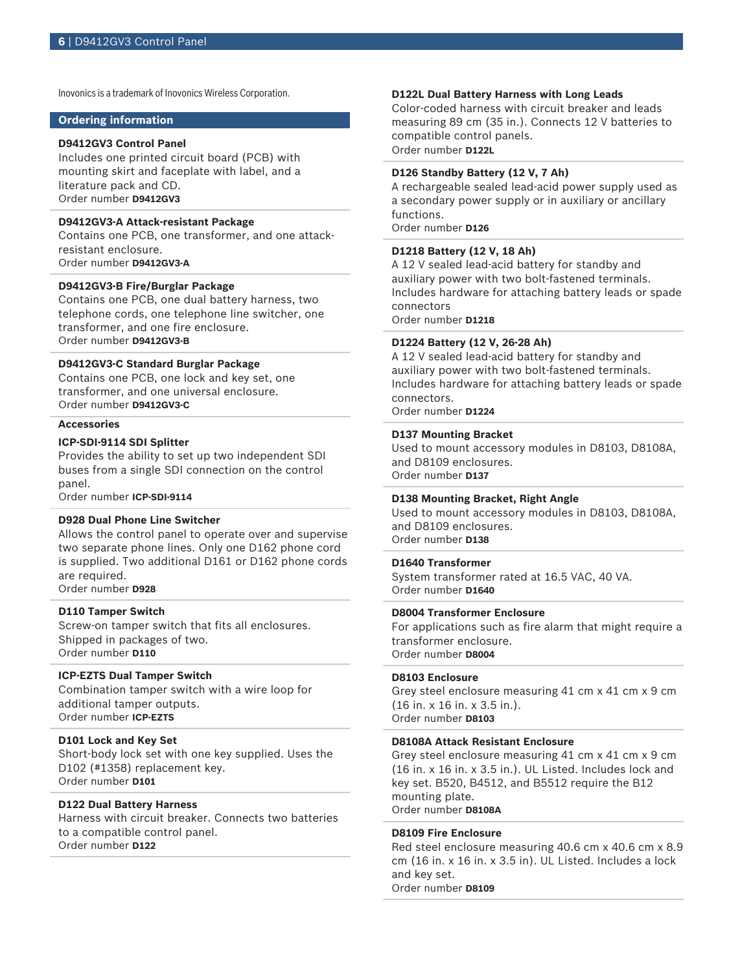Inovonics is a trademark of Inovonics Wireless Corporation.

# **Ordering information**

#### **D9412GV3 Control Panel**

Includes one printed circuit board (PCB) with mounting skirt and faceplate with label, and a literature pack and CD. Order number **D9412GV3**

#### **D9412GV3-A Attack-resistant Package**

Contains one PCB, one transformer, and one attackresistant enclosure. Order number **D9412GV3-A**

# **D9412GV3-B Fire/Burglar Package**

Contains one PCB, one dual battery harness, two telephone cords, one telephone line switcher, one transformer, and one fire enclosure. Order number **D9412GV3-B**

# **D9412GV3-C Standard Burglar Package**

Contains one PCB, one lock and key set, one transformer, and one universal enclosure. Order number **D9412GV3-C**

#### **Accessories**

## **ICP-SDI-9114 SDI Splitter**

Provides the ability to set up two independent SDI buses from a single SDI connection on the control panel.

Order number **ICP-SDI-9114**

#### **D928 Dual Phone Line Switcher**

Allows the control panel to operate over and supervise two separate phone lines. Only one D162 phone cord is supplied. Two additional D161 or D162 phone cords are required.

Order number **D928**

# **D110 Tamper Switch**

Screw-on tamper switch that fits all enclosures. Shipped in packages of two. Order number **D110**

#### **ICP‑EZTS Dual Tamper Switch**

Combination tamper switch with a wire loop for additional tamper outputs. Order number **ICP-EZTS**

# **D101 Lock and Key Set**

Short-body lock set with one key supplied. Uses the D102 (#1358) replacement key. Order number **D101**

# **D122 Dual Battery Harness**

Harness with circuit breaker. Connects two batteries to a compatible control panel. Order number **D122**

# **D122L Dual Battery Harness with Long Leads**

Color-coded harness with circuit breaker and leads measuring 89 cm (35 in.). Connects 12 V batteries to compatible control panels. Order number **D122L**

**D126 Standby Battery (12 V, 7 Ah)**

A rechargeable sealed lead‑acid power supply used as a secondary power supply or in auxiliary or ancillary functions. Order number **D126**

# **D1218 Battery (12 V, 18 Ah)**

A 12 V sealed lead-acid battery for standby and auxiliary power with two bolt-fastened terminals. Includes hardware for attaching battery leads or spade connectors

Order number **D1218**

# **D1224 Battery (12 V, 26‑28 Ah)**

A 12 V sealed lead‑acid battery for standby and auxiliary power with two bolt-fastened terminals. Includes hardware for attaching battery leads or spade connectors.

Order number **D1224**

#### **D137 Mounting Bracket**

Used to mount accessory modules in D8103, D8108A, and D8109 enclosures. Order number **D137**

#### **D138 Mounting Bracket, Right Angle**

Used to mount accessory modules in D8103, D8108A, and D8109 enclosures. Order number **D138**

#### **D1640 Transformer**

System transformer rated at 16.5 VAC, 40 VA. Order number **D1640**

# **D8004 Transformer Enclosure**

For applications such as fire alarm that might require a transformer enclosure. Order number **D8004**

# **D8103 Enclosure**

Grey steel enclosure measuring 41 cm x 41 cm x 9 cm (16 in. x 16 in. x 3.5 in.). Order number **D8103**

#### **D8108A Attack Resistant Enclosure**

Grey steel enclosure measuring 41 cm x 41 cm x 9 cm (16 in. x 16 in. x 3.5 in.). UL Listed. Includes lock and key set. B520, B4512, and B5512 require the B12 mounting plate. Order number **D8108A**

#### **D8109 Fire Enclosure**

Red steel enclosure measuring 40.6 cm x 40.6 cm x 8.9 cm (16 in. x 16 in. x 3.5 in). UL Listed. Includes a lock and key set. Order number **D8109**